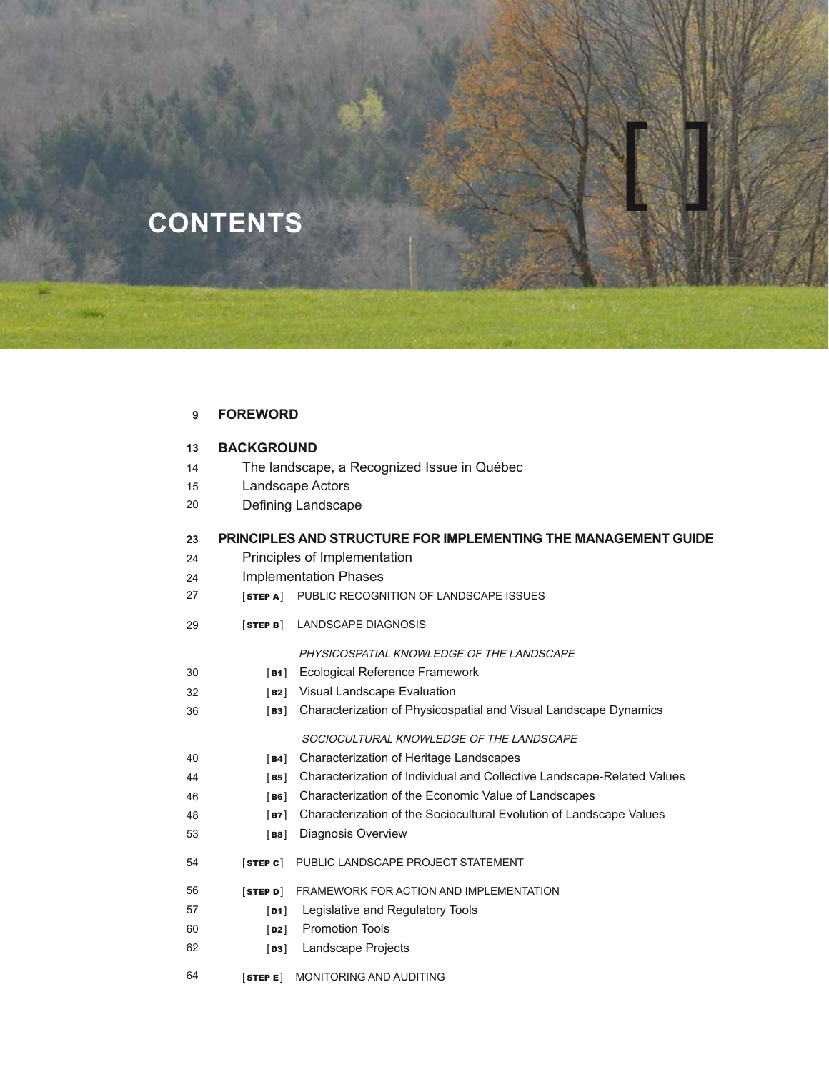# **CONTENTS**

#### **FOREWORD 9**

32 36

44 46

| 13 | <b>BACKGROUND</b> |  |
|----|-------------------|--|
|    |                   |  |

- The landscape, a Recognized Issue in Québec 14
- Landscape Actors 15
- Defining Landscape 20

#### **PRINCIPLES AND STRUCTURE FOR IMPLEMENTING THE MANAGEMENT GUIDE 23**

1

- Principles of Implementation 24
- Implementation Phases 24
- [STEP A] PUBLIC RECOGNITION OF LANDSCAPE ISSUES 27
- [STEP B] LANDSCAPE DIAGNOSIS 29

PHYSICOSPATIAL KNOWLEDGE OF THE LANDSCAPE

- [B1] Ecological Reference Framework 30
	- [B2] Visual Landscape Evaluation
		- [B3] Characterization of Physicospatial and Visual Landscape Dynamics

## SOCIOCULTURAL KNOWLEDGE OF THE LANDSCAPE

- [B4] Characterization of Heritage Landscapes 40
	- [B5] Characterization of Individual and Collective Landscape-Related Values
	- [B6] Characterization of the Economic Value of Landscapes
- [B7] Characterization of the Sociocultural Evolution of Landscape Values 48
- [B8] Diagnosis Overview 53
- [STEP C] PUBLIC LANDSCAPE PROJECT STATEMENT 54
- [STEP D] FRAMEWORK FOR ACTION AND IMPLEMENTATION 56
- [D1] Legislative and Regulatory Tools 57
- [**D2**] Promotion Tools 60
- [D3] Landscape Projects 62
- [STEP E] MONITORING AND AUDITING 64